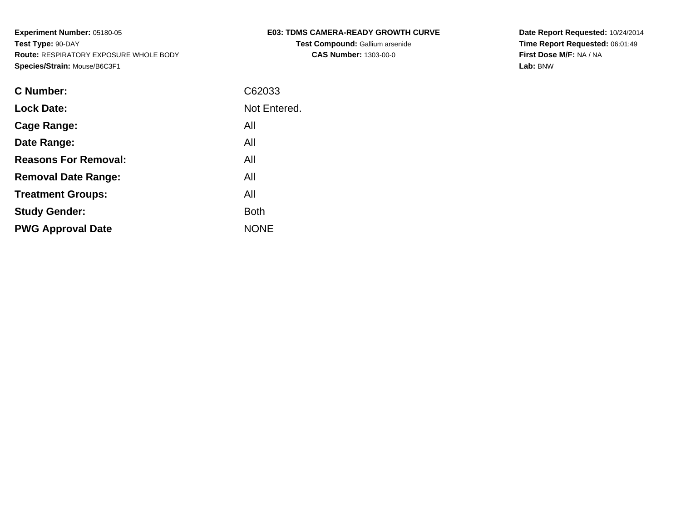| <b>E03: TDMS CAMERA-READY GROWTH CURVE</b> |  |
|--------------------------------------------|--|
|--------------------------------------------|--|

**Test Compound:** Gallium arsenide**CAS Number:** 1303-00-0

**Date Report Requested:** 10/24/2014 **Time Report Requested:** 06:01:49**First Dose M/F:** NA / NA**Lab:** BNW

| <b>C</b> Number:            | C62033       |
|-----------------------------|--------------|
| <b>Lock Date:</b>           | Not Entered. |
| Cage Range:                 | All          |
| Date Range:                 | All          |
| <b>Reasons For Removal:</b> | All          |
| <b>Removal Date Range:</b>  | All          |
| <b>Treatment Groups:</b>    | All          |
| <b>Study Gender:</b>        | <b>Both</b>  |
| <b>PWG Approval Date</b>    | <b>NONE</b>  |
|                             |              |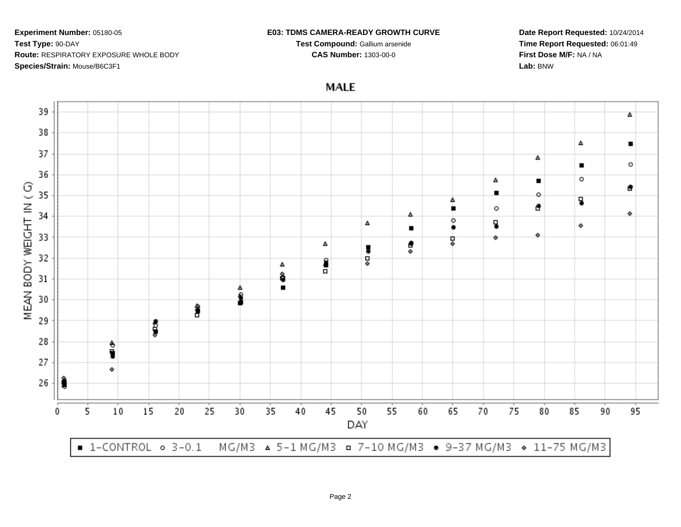## **E03: TDMS CAMERA-READY GROWTH CURVE**

**Test Compound:** Gallium arsenide**CAS Number:** 1303-00-0

**Date Report Requested:** 10/24/2014**Time Report Requested:** 06:01:49**First Dose M/F:** NA / NA**Lab:** BNW

**MALE** 

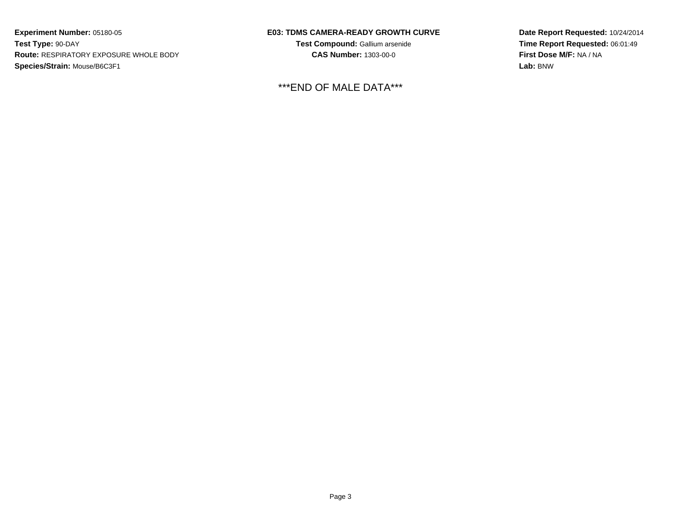## **E03: TDMS CAMERA-READY GROWTH CURVE**

**Test Compound:** Gallium arsenide**CAS Number:** 1303-00-0

\*\*\*END OF MALE DATA\*\*\*

**Date Report Requested:** 10/24/2014**Time Report Requested:** 06:01:49**First Dose M/F:** NA / NA**Lab:** BNW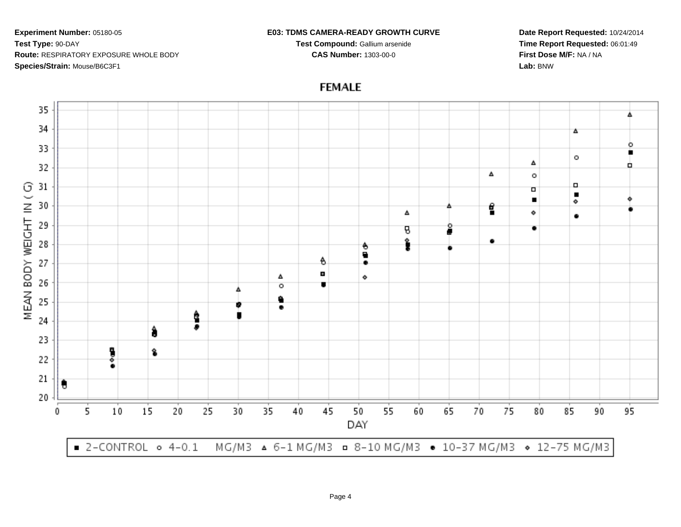## **E03: TDMS CAMERA-READY GROWTH CURVE**

**Test Compound:** Gallium arsenide**CAS Number:** 1303-00-0

**Date Report Requested:** 10/24/2014**Time Report Requested:** 06:01:49**First Dose M/F:** NA / NA**Lab:** BNW

**FEMALE**